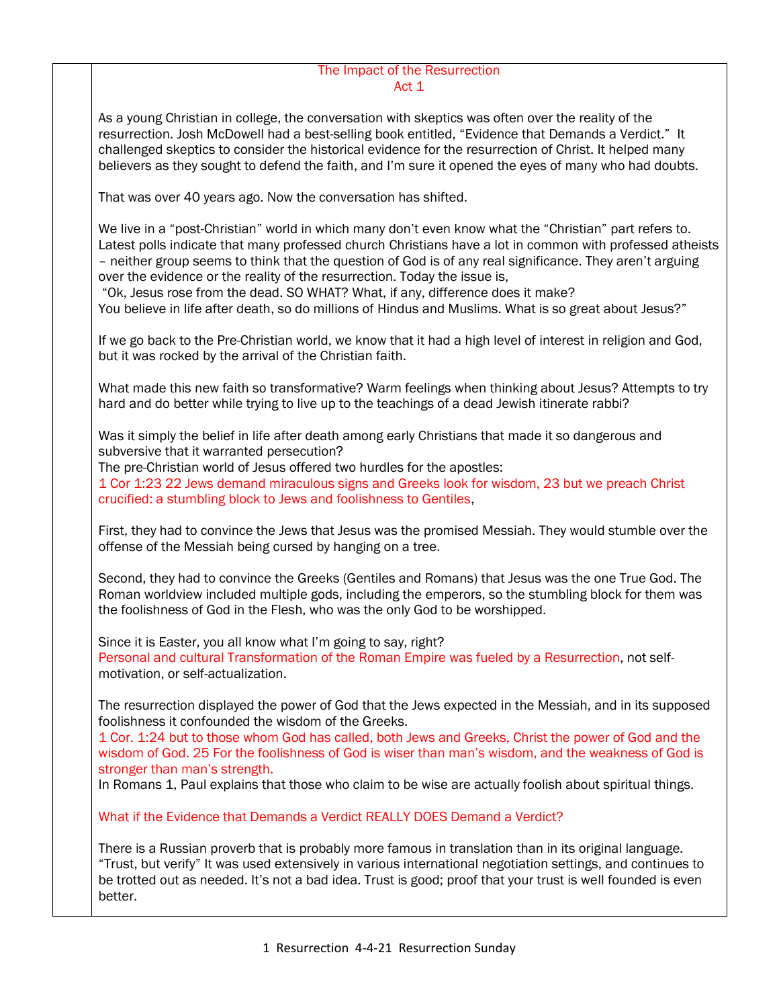## The Impact of the Resurrection Act 1

As a young Christian in college, the conversation with skeptics was often over the reality of the resurrection. Josh McDowell had a best-selling book entitled, "Evidence that Demands a Verdict." It challenged skeptics to consider the historical evidence for the resurrection of Christ. It helped many believers as they sought to defend the faith, and I'm sure it opened the eyes of many who had doubts.

That was over 40 years ago. Now the conversation has shifted.

We live in a "post-Christian" world in which many don't even know what the "Christian" part refers to. Latest polls indicate that many professed church Christians have a lot in common with professed atheists – neither group seems to think that the question of God is of any real significance. They aren't arguing over the evidence or the reality of the resurrection. Today the issue is,

"Ok, Jesus rose from the dead. SO WHAT? What, if any, difference does it make? You believe in life after death, so do millions of Hindus and Muslims. What is so great about Jesus?"

If we go back to the Pre-Christian world, we know that it had a high level of interest in religion and God, but it was rocked by the arrival of the Christian faith.

What made this new faith so transformative? Warm feelings when thinking about Jesus? Attempts to try hard and do better while trying to live up to the teachings of a dead Jewish itinerate rabbi?

Was it simply the belief in life after death among early Christians that made it so dangerous and subversive that it warranted persecution?

The pre-Christian world of Jesus offered two hurdles for the apostles:

1 Cor 1:23 22 Jews demand miraculous signs and Greeks look for wisdom, 23 but we preach Christ crucified: a stumbling block to Jews and foolishness to Gentiles,

First, they had to convince the Jews that Jesus was the promised Messiah. They would stumble over the offense of the Messiah being cursed by hanging on a tree.

Second, they had to convince the Greeks (Gentiles and Romans) that Jesus was the one True God. The Roman worldview included multiple gods, including the emperors, so the stumbling block for them was the foolishness of God in the Flesh, who was the only God to be worshipped.

Since it is Easter, you all know what I'm going to say, right? Personal and cultural Transformation of the Roman Empire was fueled by a Resurrection, not selfmotivation, or self-actualization.

The resurrection displayed the power of God that the Jews expected in the Messiah, and in its supposed foolishness it confounded the wisdom of the Greeks.

1 Cor. 1:24 but to those whom God has called, both Jews and Greeks, Christ the power of God and the wisdom of God. 25 For the foolishness of God is wiser than man's wisdom, and the weakness of God is stronger than man's strength.

In Romans 1, Paul explains that those who claim to be wise are actually foolish about spiritual things.

What if the Evidence that Demands a Verdict REALLY DOES Demand a Verdict?

There is a Russian proverb that is probably more famous in translation than in its original language. "Trust, but verify" It was used extensively in various international negotiation settings, and continues to be trotted out as needed. It's not a bad idea. Trust is good; proof that your trust is well founded is even better.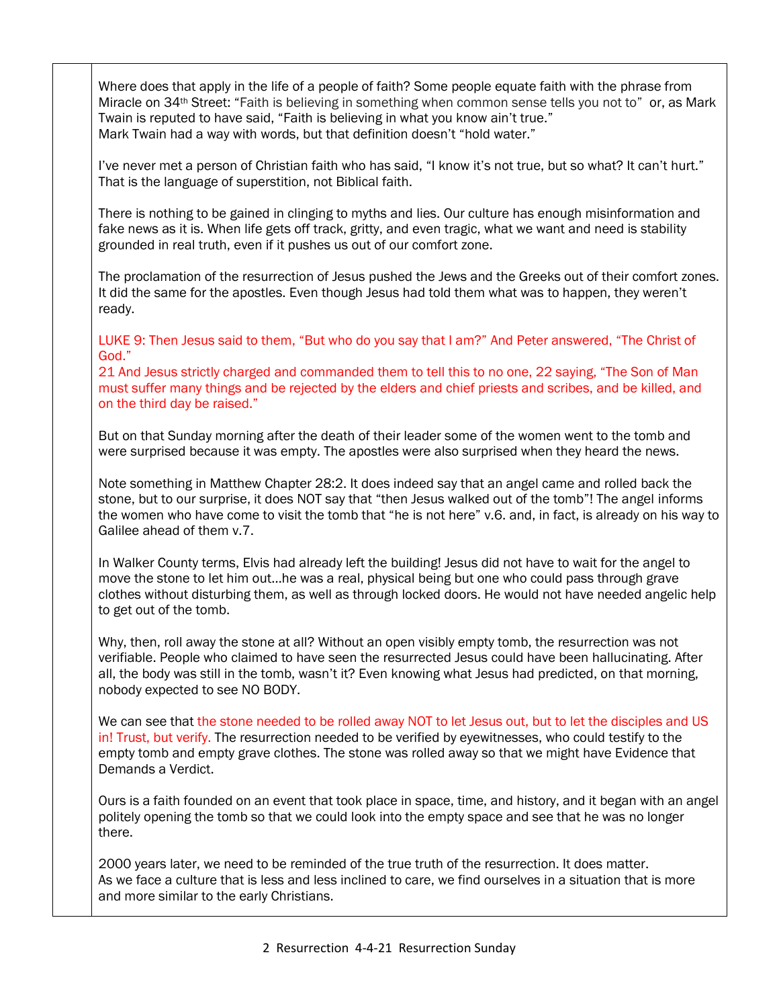Where does that apply in the life of a people of faith? Some people equate faith with the phrase from Miracle on 34th Street: "Faith is believing in something when common sense tells you not to" or, as Mark Twain is reputed to have said, "Faith is believing in what you know ain't true." Mark Twain had a way with words, but that definition doesn't "hold water."

I've never met a person of Christian faith who has said, "I know it's not true, but so what? It can't hurt." That is the language of superstition, not Biblical faith.

There is nothing to be gained in clinging to myths and lies. Our culture has enough misinformation and fake news as it is. When life gets off track, gritty, and even tragic, what we want and need is stability grounded in real truth, even if it pushes us out of our comfort zone.

The proclamation of the resurrection of Jesus pushed the Jews and the Greeks out of their comfort zones. It did the same for the apostles. Even though Jesus had told them what was to happen, they weren't ready.

LUKE 9: Then Jesus said to them, "But who do you say that I am?" And Peter answered, "The Christ of God."

21 And Jesus strictly charged and commanded them to tell this to no one, 22 saying, "The Son of Man must suffer many things and be rejected by the elders and chief priests and scribes, and be killed, and on the third day be raised."

But on that Sunday morning after the death of their leader some of the women went to the tomb and were surprised because it was empty. The apostles were also surprised when they heard the news.

Note something in Matthew Chapter 28:2. It does indeed say that an angel came and rolled back the stone, but to our surprise, it does NOT say that "then Jesus walked out of the tomb"! The angel informs the women who have come to visit the tomb that "he is not here" v.6. and, in fact, is already on his way to Galilee ahead of them v.7.

In Walker County terms, Elvis had already left the building! Jesus did not have to wait for the angel to move the stone to let him out…he was a real, physical being but one who could pass through grave clothes without disturbing them, as well as through locked doors. He would not have needed angelic help to get out of the tomb.

Why, then, roll away the stone at all? Without an open visibly empty tomb, the resurrection was not verifiable. People who claimed to have seen the resurrected Jesus could have been hallucinating. After all, the body was still in the tomb, wasn't it? Even knowing what Jesus had predicted, on that morning, nobody expected to see NO BODY.

We can see that the stone needed to be rolled away NOT to let Jesus out, but to let the disciples and US in! Trust, but verify. The resurrection needed to be verified by eyewitnesses, who could testify to the empty tomb and empty grave clothes. The stone was rolled away so that we might have Evidence that Demands a Verdict.

Ours is a faith founded on an event that took place in space, time, and history, and it began with an angel politely opening the tomb so that we could look into the empty space and see that he was no longer there.

2000 years later, we need to be reminded of the true truth of the resurrection. It does matter. As we face a culture that is less and less inclined to care, we find ourselves in a situation that is more and more similar to the early Christians.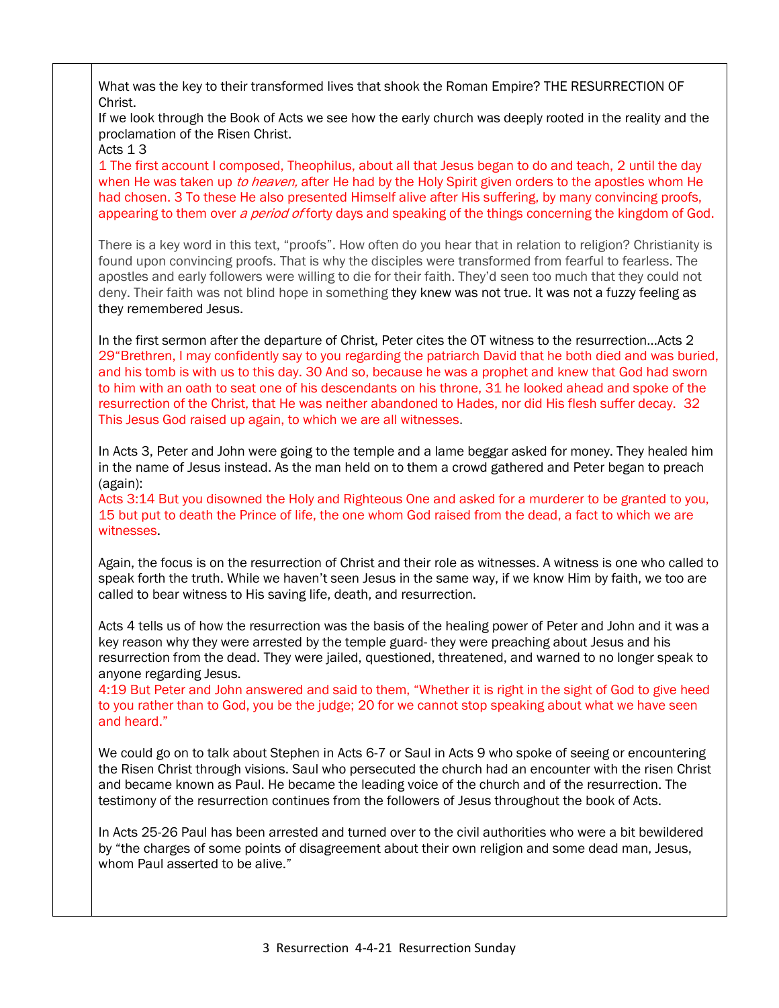| What was the key to their transformed lives that shook the Roman Empire? THE RESURRECTION OF<br>Christ.                                                                                                                                                                                                                                                                                                                                                                                                                                                                                                           |
|-------------------------------------------------------------------------------------------------------------------------------------------------------------------------------------------------------------------------------------------------------------------------------------------------------------------------------------------------------------------------------------------------------------------------------------------------------------------------------------------------------------------------------------------------------------------------------------------------------------------|
| If we look through the Book of Acts we see how the early church was deeply rooted in the reality and the<br>proclamation of the Risen Christ.<br>Acts 13                                                                                                                                                                                                                                                                                                                                                                                                                                                          |
| 1 The first account I composed, Theophilus, about all that Jesus began to do and teach, 2 until the day<br>when He was taken up to heaven, after He had by the Holy Spirit given orders to the apostles whom He<br>had chosen. 3 To these He also presented Himself alive after His suffering, by many convincing proofs,<br>appearing to them over a period of forty days and speaking of the things concerning the kingdom of God.                                                                                                                                                                              |
| There is a key word in this text, "proofs". How often do you hear that in relation to religion? Christianity is<br>found upon convincing proofs. That is why the disciples were transformed from fearful to fearless. The<br>apostles and early followers were willing to die for their faith. They'd seen too much that they could not<br>deny. Their faith was not blind hope in something they knew was not true. It was not a fuzzy feeling as<br>they remembered Jesus.                                                                                                                                      |
| In the first sermon after the departure of Christ, Peter cites the OT witness to the resurrectionActs 2<br>29"Brethren, I may confidently say to you regarding the patriarch David that he both died and was buried,<br>and his tomb is with us to this day. 30 And so, because he was a prophet and knew that God had sworn<br>to him with an oath to seat one of his descendants on his throne, 31 he looked ahead and spoke of the<br>resurrection of the Christ, that He was neither abandoned to Hades, nor did His flesh suffer decay. 32<br>This Jesus God raised up again, to which we are all witnesses. |
| In Acts 3, Peter and John were going to the temple and a lame beggar asked for money. They healed him<br>in the name of Jesus instead. As the man held on to them a crowd gathered and Peter began to preach<br>(again):                                                                                                                                                                                                                                                                                                                                                                                          |
| Acts 3:14 But you disowned the Holy and Righteous One and asked for a murderer to be granted to you,<br>15 but put to death the Prince of life, the one whom God raised from the dead, a fact to which we are<br>witnesses.                                                                                                                                                                                                                                                                                                                                                                                       |
| Again, the focus is on the resurrection of Christ and their role as witnesses. A witness is one who called to<br>speak forth the truth. While we haven't seen Jesus in the same way, if we know Him by faith, we too are<br>called to bear witness to His saving life, death, and resurrection.                                                                                                                                                                                                                                                                                                                   |
| Acts 4 tells us of how the resurrection was the basis of the healing power of Peter and John and it was a<br>key reason why they were arrested by the temple guard- they were preaching about Jesus and his<br>resurrection from the dead. They were jailed, questioned, threatened, and warned to no longer speak to<br>anyone regarding Jesus.                                                                                                                                                                                                                                                                  |
| 4:19 But Peter and John answered and said to them, "Whether it is right in the sight of God to give heed<br>to you rather than to God, you be the judge; 20 for we cannot stop speaking about what we have seen<br>and heard."                                                                                                                                                                                                                                                                                                                                                                                    |
| We could go on to talk about Stephen in Acts 6-7 or Saul in Acts 9 who spoke of seeing or encountering<br>the Risen Christ through visions. Saul who persecuted the church had an encounter with the risen Christ<br>and became known as Paul. He became the leading voice of the church and of the resurrection. The<br>testimony of the resurrection continues from the followers of Jesus throughout the book of Acts.                                                                                                                                                                                         |
| In Acts 25-26 Paul has been arrested and turned over to the civil authorities who were a bit bewildered<br>by "the charges of some points of disagreement about their own religion and some dead man, Jesus,<br>whom Paul asserted to be alive."                                                                                                                                                                                                                                                                                                                                                                  |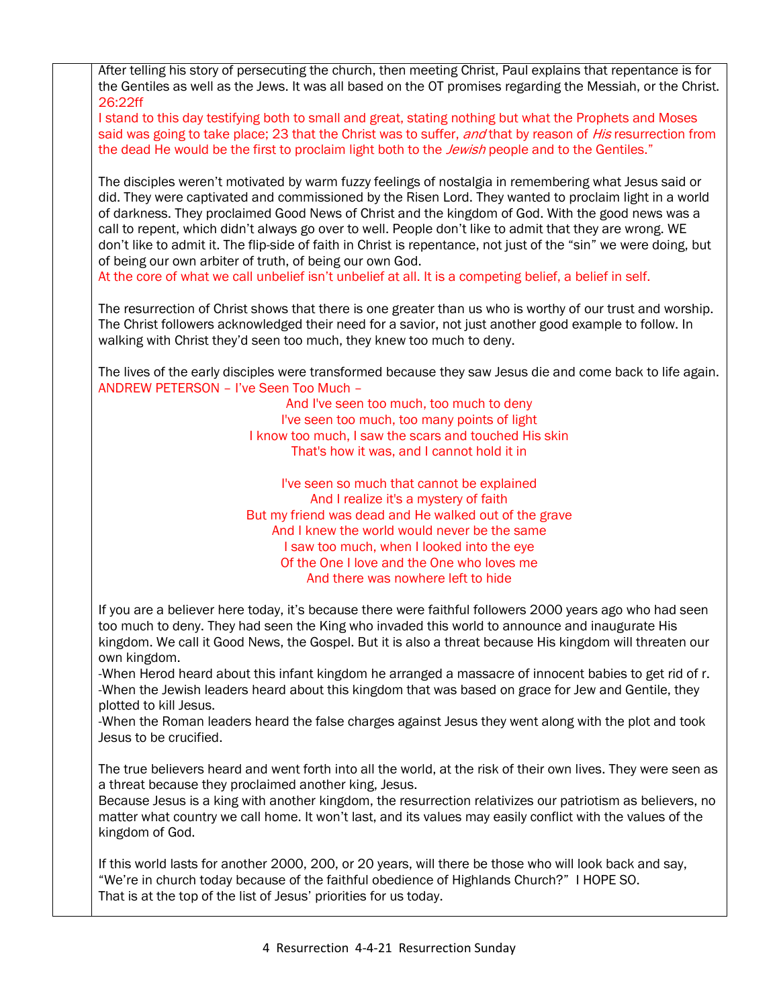| After telling his story of persecuting the church, then meeting Christ, Paul explains that repentance is for     |
|------------------------------------------------------------------------------------------------------------------|
| the Gentiles as well as the Jews. It was all based on the OT promises regarding the Messiah, or the Christ.      |
| 26:22ff                                                                                                          |
| I stand to this day testifying both to small and great, stating nothing but what the Prophets and Moses          |
|                                                                                                                  |
| said was going to take place; 23 that the Christ was to suffer, and that by reason of His resurrection from      |
| the dead He would be the first to proclaim light both to the Jewish people and to the Gentiles."                 |
|                                                                                                                  |
| The disciples weren't motivated by warm fuzzy feelings of nostalgia in remembering what Jesus said or            |
| did. They were captivated and commissioned by the Risen Lord. They wanted to proclaim light in a world           |
| of darkness. They proclaimed Good News of Christ and the kingdom of God. With the good news was a                |
|                                                                                                                  |
| call to repent, which didn't always go over to well. People don't like to admit that they are wrong. WE          |
| don't like to admit it. The flip-side of faith in Christ is repentance, not just of the "sin" we were doing, but |
| of being our own arbiter of truth, of being our own God.                                                         |
| At the core of what we call unbelief isn't unbelief at all. It is a competing belief, a belief in self.          |
|                                                                                                                  |
| The resurrection of Christ shows that there is one greater than us who is worthy of our trust and worship.       |
| The Christ followers acknowledged their need for a savior, not just another good example to follow. In           |
|                                                                                                                  |
| walking with Christ they'd seen too much, they knew too much to deny.                                            |
|                                                                                                                  |
| The lives of the early disciples were transformed because they saw Jesus die and come back to life again.        |
| ANDREW PETERSON - I've Seen Too Much -                                                                           |
| And I've seen too much, too much to deny                                                                         |
| I've seen too much, too many points of light                                                                     |
| I know too much, I saw the scars and touched His skin                                                            |
| That's how it was, and I cannot hold it in                                                                       |
|                                                                                                                  |
|                                                                                                                  |
| I've seen so much that cannot be explained                                                                       |
| And I realize it's a mystery of faith                                                                            |
| But my friend was dead and He walked out of the grave                                                            |
| And I knew the world would never be the same                                                                     |
| I saw too much, when I looked into the eye                                                                       |
| Of the One I love and the One who loves me                                                                       |
| And there was nowhere left to hide                                                                               |
|                                                                                                                  |
| If you are a believer here today, it's because there were faithful followers 2000 years ago who had seen         |
| too much to deny. They had seen the King who invaded this world to announce and inaugurate His                   |
|                                                                                                                  |
| kingdom. We call it Good News, the Gospel. But it is also a threat because His kingdom will threaten our         |
| own kingdom.                                                                                                     |
| -When Herod heard about this infant kingdom he arranged a massacre of innocent babies to get rid of r.           |
| -When the Jewish leaders heard about this kingdom that was based on grace for Jew and Gentile, they              |
| plotted to kill Jesus.                                                                                           |
| -When the Roman leaders heard the false charges against Jesus they went along with the plot and took             |
| Jesus to be crucified.                                                                                           |
|                                                                                                                  |
|                                                                                                                  |
| The true believers heard and went forth into all the world, at the risk of their own lives. They were seen as    |
| a threat because they proclaimed another king, Jesus.                                                            |
| Because Jesus is a king with another kingdom, the resurrection relativizes our patriotism as believers, no       |
| matter what country we call home. It won't last, and its values may easily conflict with the values of the       |
| kingdom of God.                                                                                                  |
|                                                                                                                  |
| If this world lasts for another 2000, 200, or 20 years, will there be those who will look back and say,          |
|                                                                                                                  |
| "We're in church today because of the faithful obedience of Highlands Church?" I HOPE SO.                        |
| That is at the top of the list of Jesus' priorities for us today.                                                |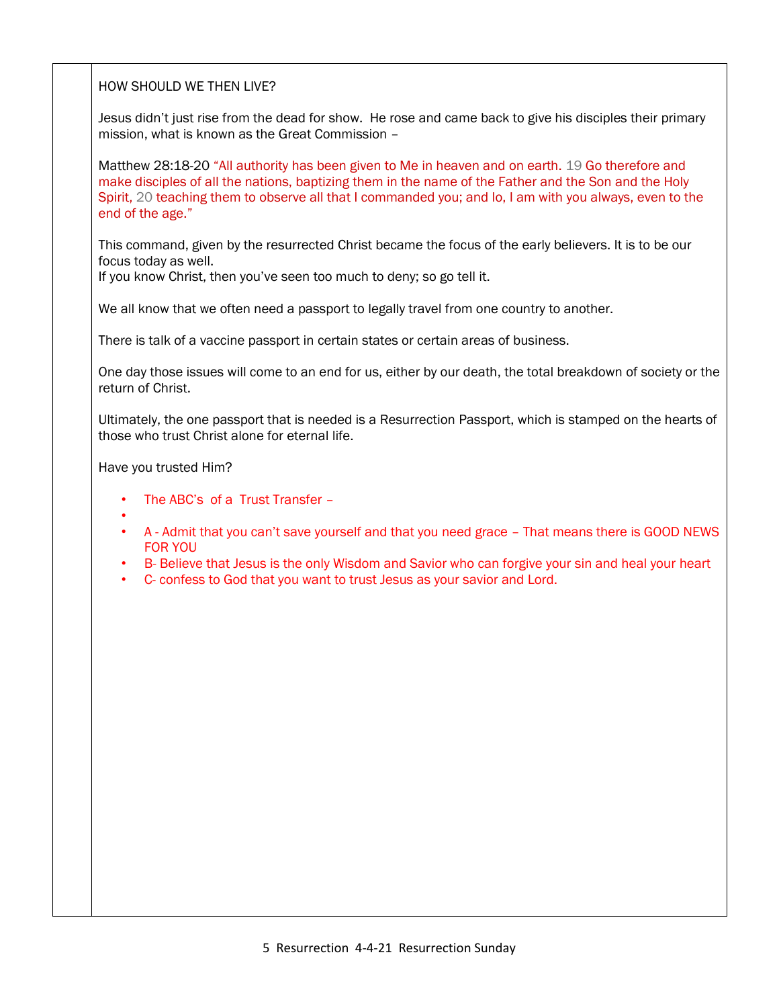HOW SHOULD WE THEN LIVE?

Jesus didn't just rise from the dead for show. He rose and came back to give his disciples their primary mission, what is known as the Great Commission –

Matthew 28:18-20 "All authority has been given to Me in heaven and on earth. 19 Go therefore and make disciples of all the nations, baptizing them in the name of the Father and the Son and the Holy Spirit, 20 teaching them to observe all that I commanded you; and lo, I am with you always, even to the end of the age."

This command, given by the resurrected Christ became the focus of the early believers. It is to be our focus today as well.

If you know Christ, then you've seen too much to deny; so go tell it.

We all know that we often need a passport to legally travel from one country to another.

There is talk of a vaccine passport in certain states or certain areas of business.

One day those issues will come to an end for us, either by our death, the total breakdown of society or the return of Christ.

Ultimately, the one passport that is needed is a Resurrection Passport, which is stamped on the hearts of those who trust Christ alone for eternal life.

Have you trusted Him?

- The ABC's of a Trust Transfer –
- •
- A Admit that you can't save yourself and that you need grace That means there is GOOD NEWS FOR YOU
- B- Believe that Jesus is the only Wisdom and Savior who can forgive your sin and heal your heart
- C- confess to God that you want to trust Jesus as your savior and Lord.